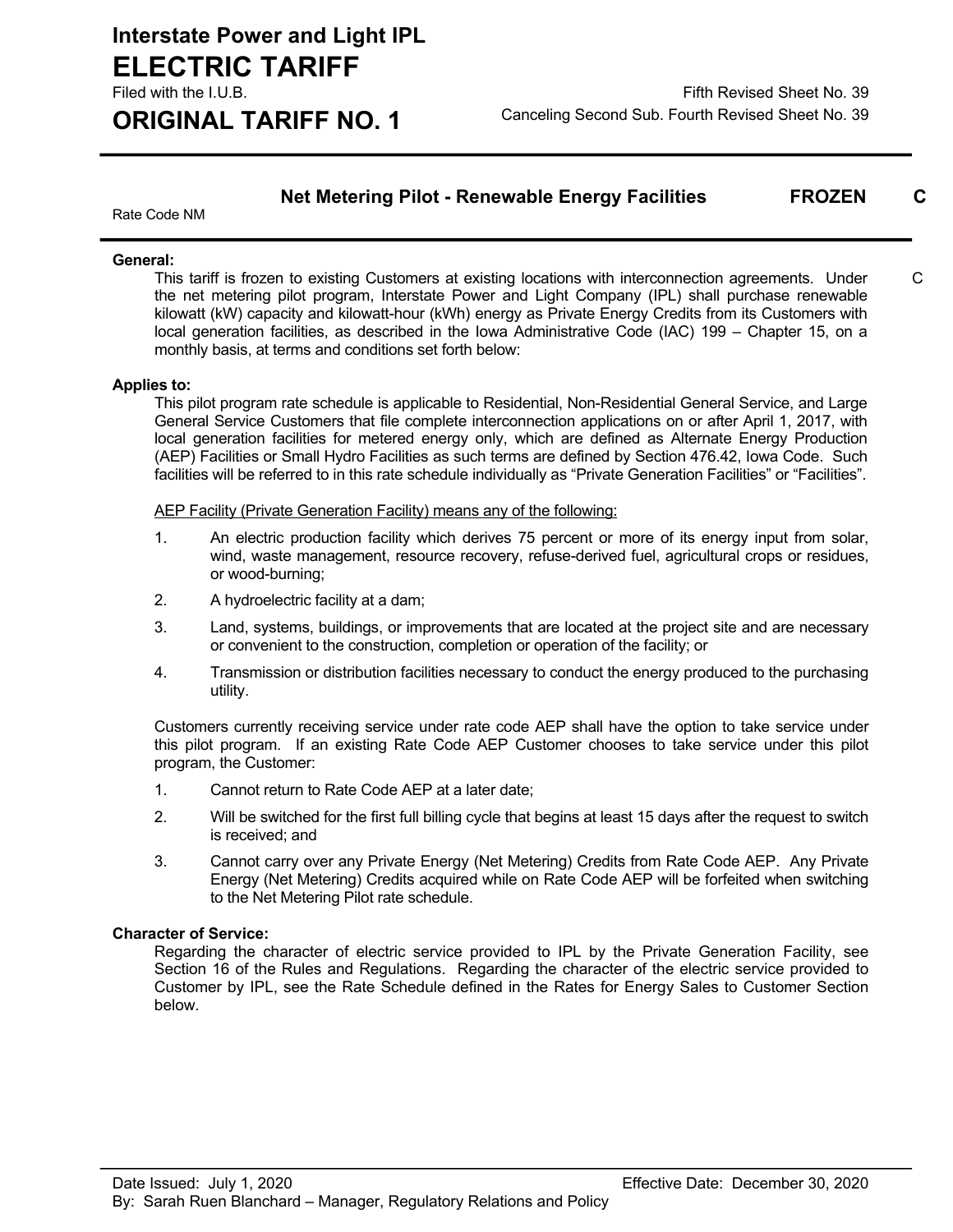$\mathcal{C}$ 

### **Net Metering Pilot - Renewable Energy Facilities FROZEN C**

Rate Code NM

### **General:**

This tariff is frozen to existing Customers at existing locations with interconnection agreements. Under the net metering pilot program, Interstate Power and Light Company (IPL) shall purchase renewable kilowatt (kW) capacity and kilowatt-hour (kWh) energy as Private Energy Credits from its Customers with local generation facilities, as described in the Iowa Administrative Code (IAC) 199 – Chapter 15, on a monthly basis, at terms and conditions set forth below:

### **Applies to:**

This pilot program rate schedule is applicable to Residential, Non-Residential General Service, and Large General Service Customers that file complete interconnection applications on or after April 1, 2017, with local generation facilities for metered energy only, which are defined as Alternate Energy Production (AEP) Facilities or Small Hydro Facilities as such terms are defined by Section 476.42, Iowa Code. Such facilities will be referred to in this rate schedule individually as "Private Generation Facilities" or "Facilities".

### AEP Facility (Private Generation Facility) means any of the following:

- 1. An electric production facility which derives 75 percent or more of its energy input from solar, wind, waste management, resource recovery, refuse-derived fuel, agricultural crops or residues, or wood-burning;
- 2. A hydroelectric facility at a dam;
- 3. Land, systems, buildings, or improvements that are located at the project site and are necessary or convenient to the construction, completion or operation of the facility; or
- 4. Transmission or distribution facilities necessary to conduct the energy produced to the purchasing utility.

Customers currently receiving service under rate code AEP shall have the option to take service under this pilot program. If an existing Rate Code AEP Customer chooses to take service under this pilot program, the Customer:

- 1. Cannot return to Rate Code AEP at a later date;
- 2. Will be switched for the first full billing cycle that begins at least 15 days after the request to switch is received; and
- 3. Cannot carry over any Private Energy (Net Metering) Credits from Rate Code AEP. Any Private Energy (Net Metering) Credits acquired while on Rate Code AEP will be forfeited when switching to the Net Metering Pilot rate schedule.

### **Character of Service:**

Regarding the character of electric service provided to IPL by the Private Generation Facility, see Section 16 of the Rules and Regulations. Regarding the character of the electric service provided to Customer by IPL, see the Rate Schedule defined in the Rates for Energy Sales to Customer Section below.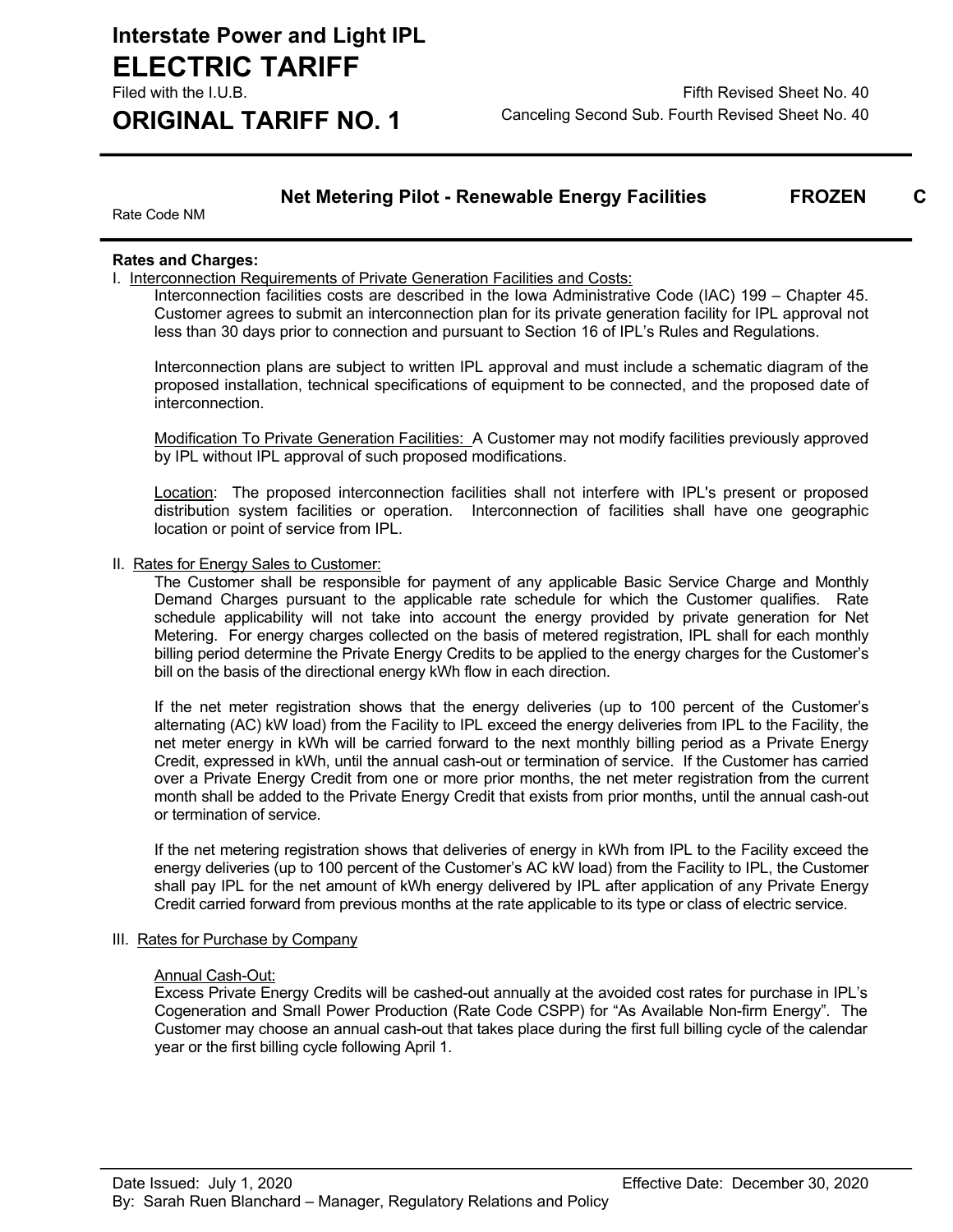### **Net Metering Pilot - Renewable Energy Facilities FROZEN C**

Rate Code NM

### **Rates and Charges:**

I. Interconnection Requirements of Private Generation Facilities and Costs:

Interconnection facilities costs are described in the Iowa Administrative Code (IAC) 199 – Chapter 45. Customer agrees to submit an interconnection plan for its private generation facility for IPL approval not less than 30 days prior to connection and pursuant to Section 16 of IPL's Rules and Regulations.

Interconnection plans are subject to written IPL approval and must include a schematic diagram of the proposed installation, technical specifications of equipment to be connected, and the proposed date of interconnection.

Modification To Private Generation Facilities: A Customer may not modify facilities previously approved by IPL without IPL approval of such proposed modifications.

Location: The proposed interconnection facilities shall not interfere with IPL's present or proposed distribution system facilities or operation. Interconnection of facilities shall have one geographic location or point of service from IPL.

#### II. Rates for Energy Sales to Customer:

The Customer shall be responsible for payment of any applicable Basic Service Charge and Monthly Demand Charges pursuant to the applicable rate schedule for which the Customer qualifies. Rate schedule applicability will not take into account the energy provided by private generation for Net Metering. For energy charges collected on the basis of metered registration, IPL shall for each monthly billing period determine the Private Energy Credits to be applied to the energy charges for the Customer's bill on the basis of the directional energy kWh flow in each direction.

If the net meter registration shows that the energy deliveries (up to 100 percent of the Customer's alternating (AC) kW load) from the Facility to IPL exceed the energy deliveries from IPL to the Facility, the net meter energy in kWh will be carried forward to the next monthly billing period as a Private Energy Credit, expressed in kWh, until the annual cash-out or termination of service. If the Customer has carried over a Private Energy Credit from one or more prior months, the net meter registration from the current month shall be added to the Private Energy Credit that exists from prior months, until the annual cash-out or termination of service.

If the net metering registration shows that deliveries of energy in kWh from IPL to the Facility exceed the energy deliveries (up to 100 percent of the Customer's AC kW load) from the Facility to IPL, the Customer shall pay IPL for the net amount of kWh energy delivered by IPL after application of any Private Energy Credit carried forward from previous months at the rate applicable to its type or class of electric service.

#### III. Rates for Purchase by Company

#### Annual Cash-Out:

Excess Private Energy Credits will be cashed-out annually at the avoided cost rates for purchase in IPL's Cogeneration and Small Power Production (Rate Code CSPP) for "As Available Non-firm Energy". The Customer may choose an annual cash-out that takes place during the first full billing cycle of the calendar year or the first billing cycle following April 1.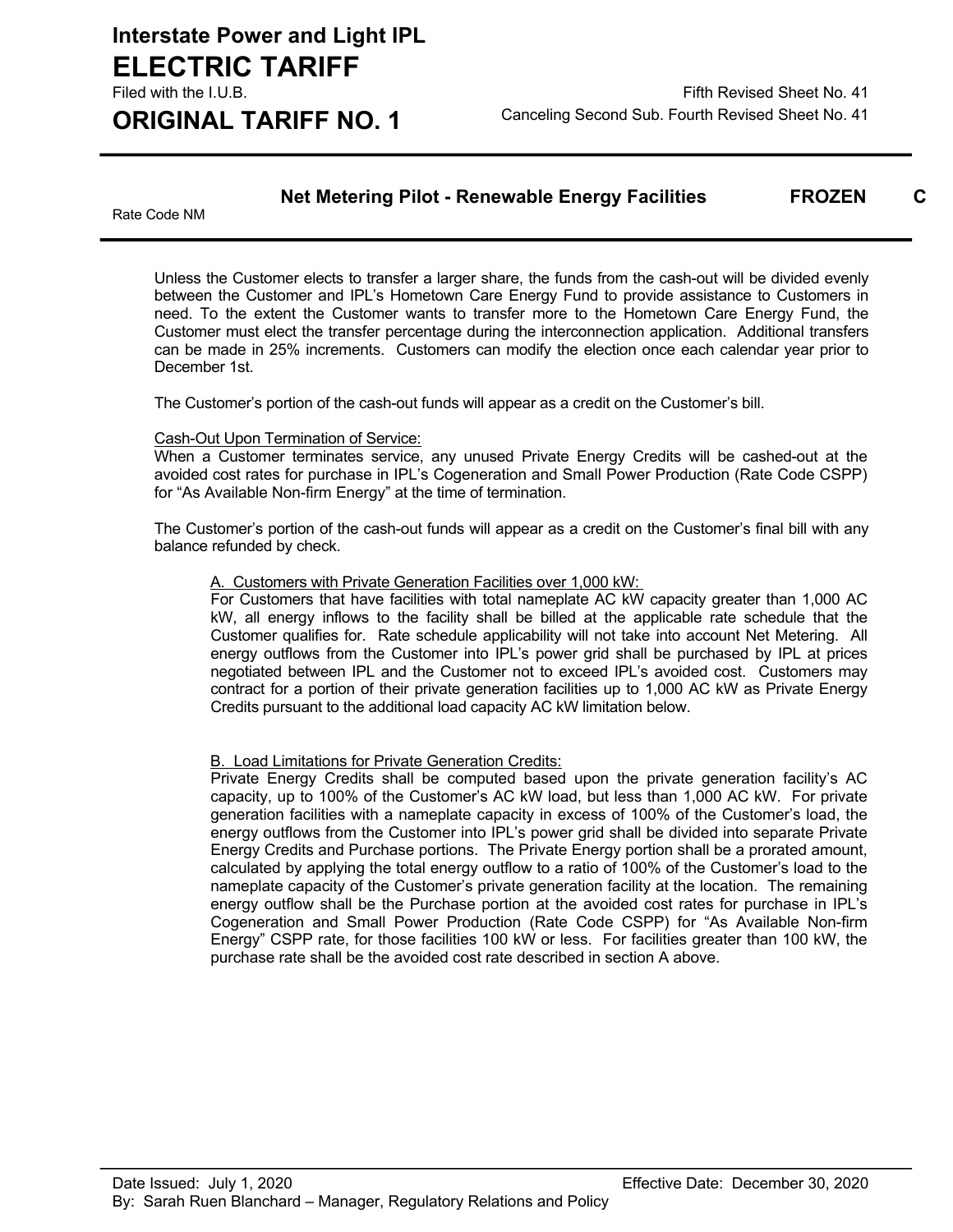### **Net Metering Pilot - Renewable Energy Facilities FROZEN C**

Rate Code NM

Unless the Customer elects to transfer a larger share, the funds from the cash-out will be divided evenly between the Customer and IPL's Hometown Care Energy Fund to provide assistance to Customers in need. To the extent the Customer wants to transfer more to the Hometown Care Energy Fund, the Customer must elect the transfer percentage during the interconnection application. Additional transfers can be made in 25% increments. Customers can modify the election once each calendar year prior to December 1st.

The Customer's portion of the cash-out funds will appear as a credit on the Customer's bill.

### Cash-Out Upon Termination of Service:

When a Customer terminates service, any unused Private Energy Credits will be cashed-out at the avoided cost rates for purchase in IPL's Cogeneration and Small Power Production (Rate Code CSPP) for "As Available Non-firm Energy" at the time of termination.

The Customer's portion of the cash-out funds will appear as a credit on the Customer's final bill with any balance refunded by check.

### A. Customers with Private Generation Facilities over 1,000 kW:

For Customers that have facilities with total nameplate AC kW capacity greater than 1,000 AC kW, all energy inflows to the facility shall be billed at the applicable rate schedule that the Customer qualifies for. Rate schedule applicability will not take into account Net Metering. All energy outflows from the Customer into IPL's power grid shall be purchased by IPL at prices negotiated between IPL and the Customer not to exceed IPL's avoided cost. Customers may contract for a portion of their private generation facilities up to 1,000 AC kW as Private Energy Credits pursuant to the additional load capacity AC kW limitation below.

### **B. Load Limitations for Private Generation Credits:**

Private Energy Credits shall be computed based upon the private generation facility's AC capacity, up to 100% of the Customer's AC kW load, but less than 1,000 AC kW. For private generation facilities with a nameplate capacity in excess of 100% of the Customer's load, the energy outflows from the Customer into IPL's power grid shall be divided into separate Private Energy Credits and Purchase portions. The Private Energy portion shall be a prorated amount, calculated by applying the total energy outflow to a ratio of 100% of the Customer's load to the nameplate capacity of the Customer's private generation facility at the location. The remaining energy outflow shall be the Purchase portion at the avoided cost rates for purchase in IPL's Cogeneration and Small Power Production (Rate Code CSPP) for "As Available Non-firm Energy" CSPP rate, for those facilities 100 kW or less. For facilities greater than 100 kW, the purchase rate shall be the avoided cost rate described in section A above.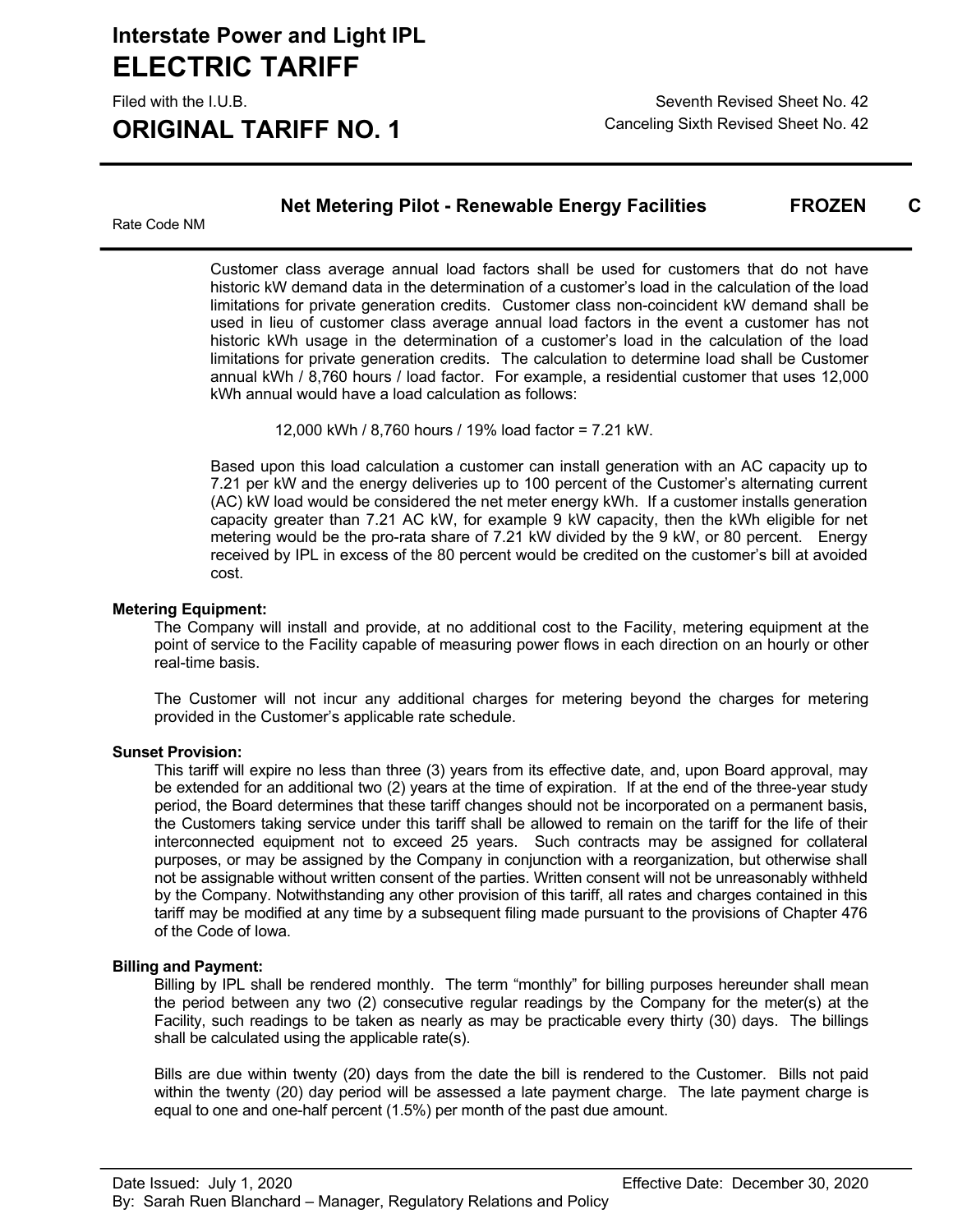**ORIGINAL TARIFF NO. 1** Canceling Sixth Revised Sheet No. 42

Filed with the I.U.B. Seventh Revised Sheet No. 42

**Net Metering Pilot - Renewable Energy Facilities FROZEN** 

Rate Code NM

Customer class average annual load factors shall be used for customers that do not have historic kW demand data in the determination of a customer's load in the calculation of the load limitations for private generation credits. Customer class non-coincident kW demand shall be used in lieu of customer class average annual load factors in the event a customer has not historic kWh usage in the determination of a customer's load in the calculation of the load limitations for private generation credits. The calculation to determine load shall be Customer annual kWh / 8,760 hours / load factor. For example, a residential customer that uses 12,000 kWh annual would have a load calculation as follows:

12,000 kWh / 8,760 hours / 19% load factor = 7.21 kW.

Based upon this load calculation a customer can install generation with an AC capacity up to 7.21 per kW and the energy deliveries up to 100 percent of the Customer's alternating current (AC) kW load would be considered the net meter energy kWh. If a customer installs generation capacity greater than 7.21 AC kW, for example 9 kW capacity, then the kWh eligible for net metering would be the pro-rata share of 7.21 kW divided by the 9 kW, or 80 percent. Energy received by IPL in excess of the 80 percent would be credited on the customer's bill at avoided cost.

### **Metering Equipment:**

The Company will install and provide, at no additional cost to the Facility, metering equipment at the point of service to the Facility capable of measuring power flows in each direction on an hourly or other real-time basis.

The Customer will not incur any additional charges for metering beyond the charges for metering provided in the Customer's applicable rate schedule.

#### **Sunset Provision:**

This tariff will expire no less than three (3) years from its effective date, and, upon Board approval, may be extended for an additional two (2) years at the time of expiration. If at the end of the three-year study period, the Board determines that these tariff changes should not be incorporated on a permanent basis, the Customers taking service under this tariff shall be allowed to remain on the tariff for the life of their interconnected equipment not to exceed 25 years. Such contracts may be assigned for collateral purposes, or may be assigned by the Company in conjunction with a reorganization, but otherwise shall not be assignable without written consent of the parties. Written consent will not be unreasonably withheld by the Company. Notwithstanding any other provision of this tariff, all rates and charges contained in this tariff may be modified at any time by a subsequent filing made pursuant to the provisions of Chapter 476 of the Code of Iowa.

### **Billing and Payment:**

Billing by IPL shall be rendered monthly. The term "monthly" for billing purposes hereunder shall mean the period between any two (2) consecutive regular readings by the Company for the meter(s) at the Facility, such readings to be taken as nearly as may be practicable every thirty (30) days. The billings shall be calculated using the applicable rate(s).

Bills are due within twenty (20) days from the date the bill is rendered to the Customer. Bills not paid within the twenty (20) day period will be assessed a late payment charge. The late payment charge is equal to one and one-half percent (1.5%) per month of the past due amount.